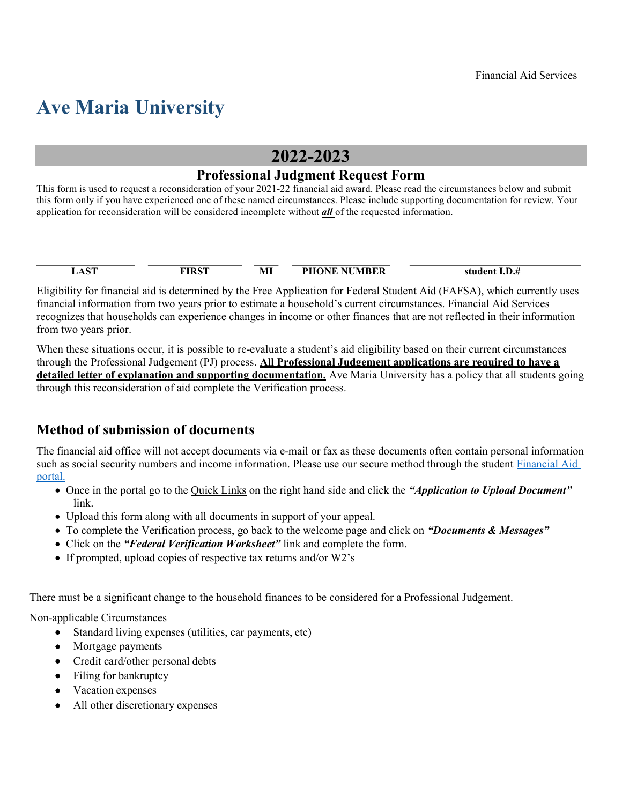# Ave Maria University

# 2022-2023

## Professional Judgment Request Form

This form is used to request a reconsideration of your 2021-22 financial aid award. Please read the circumstances below and submit this form only if you have experienced one of these named circumstances. Please include supporting documentation for review. Your application for reconsideration will be considered incomplete without  $\underline{dI}$  of the requested information.

| LAST | eid ch<br>LN.J | МI | <b>PHONE NUMBER</b> | 1.D.#<br>student |
|------|----------------|----|---------------------|------------------|
|      |                |    |                     |                  |

Eligibility for financial aid is determined by the Free Application for Federal Student Aid (FAFSA), which currently uses financial information from two years prior to estimate a household's current circumstances. Financial Aid Services recognizes that households can experience changes in income or other finances that are not reflected in their information from two years prior.

When these situations occur, it is possible to re-evaluate a student's aid eligibility based on their current circumstances through the Professional Judgement (PJ) process. All Professional Judgement applications are required to have a detailed letter of explanation and supporting documentation. Ave Maria University has a policy that all students going through this reconsideration of aid complete the Verification process.

# Method of submission of documents

The financial aid office will not accept documents via e-mail or fax as these documents often contain personal information such as social security numbers and income information. Please use our secure method through the student Financial Aid portal.

- Once in the portal go to the Quick Links on the right hand side and click the "Application to Upload Document" link.
- Upload this form along with all documents in support of your appeal.
- To complete the Verification process, go back to the welcome page and click on "*Documents & Messages*"
- Click on the "Federal Verification Worksheet" link and complete the form.
- If prompted, upload copies of respective tax returns and/or W2's

There must be a significant change to the household finances to be considered for a Professional Judgement.

Non-applicable Circumstances

- Standard living expenses (utilities, car payments, etc)
- Mortgage payments
- Credit card/other personal debts
- Filing for bankruptcy
- Vacation expenses
- All other discretionary expenses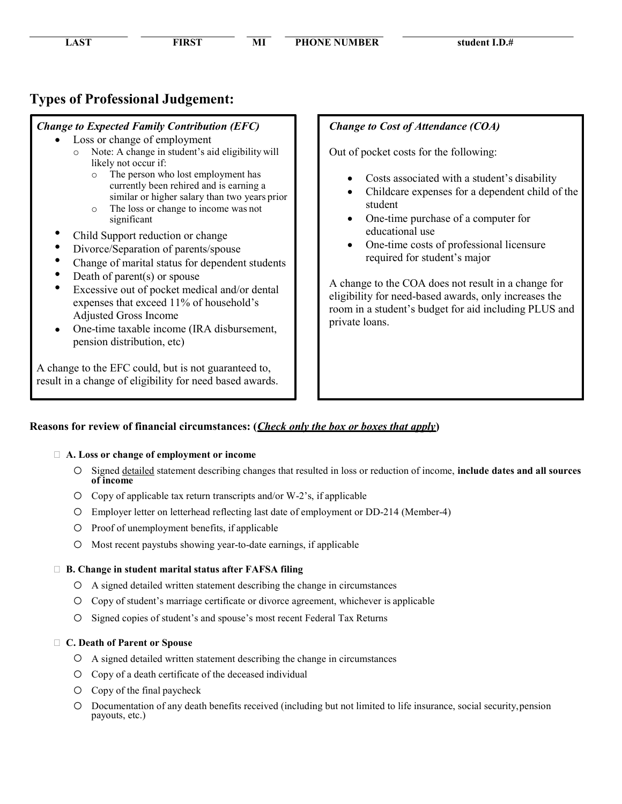# Types of Professional Judgement:

#### Change to Expected Family Contribution (EFC)

- Loss or change of employment
	- Note: A change in student's aid eligibility will likely not occur if:
		- o The person who lost employment has currently been rehired and is earning a similar or higher salary than two years prior
		- The loss or change to income was not significant
- Child Support reduction or change  $\bullet$
- Divorce/Separation of parents/spouse  $\bullet$
- Change of marital status for dependent students  $\bullet$
- Death of parent(s) or spouse  $\bullet$
- Excessive out of pocket medical and/or dental expenses that exceed 11% of household's Adjusted Gross Income  $\bullet$
- One-time taxable income (IRA disbursement, pension distribution, etc)  $\bullet$

A change to the EFC could, but is not guaranteed to, result in a change of eligibility for need based awards.

#### Change to Cost of Attendance (COA)

Out of pocket costs for the following:

- Costs associated with a student's disability
- Childcare expenses for a dependent child of the student
- One-time purchase of a computer for educational use
- One-time costs of professional licensure required for student's major

A change to the COA does not result in a change for eligibility for need-based awards, only increases the room in a student's budget for aid including PLUS and private loans.

### Reasons for review of financial circumstances: (*Check only the box or boxes that apply*)

#### A. Loss or change of employment or income

- o Signed detailed statement describing changes that resulted in loss or reduction of income, include dates and all sources of income
- o Copy of applicable tax return transcripts and/or W-2's, if applicable
- o Employer letter on letterhead reflecting last date of employment or DD-214 (Member-4)
- o Proof of unemployment benefits, if applicable
- o Most recent paystubs showing year-to-date earnings, if applicable

#### $\Box$  B. Change in student marital status after FAFSA filing

- o A signed detailed written statement describing the change in circumstances
- o Copy of student's marriage certificate or divorce agreement, whichever is applicable
- o Signed copies of student's and spouse's most recent Federal Tax Returns

#### C. Death of Parent or Spouse

- o A signed detailed written statement describing the change in circumstances
- o Copy of a death certificate of the deceased individual
- o Copy of the final paycheck
- o Documentation of any death benefits received (including but not limited to life insurance, social security, pension payouts, etc.)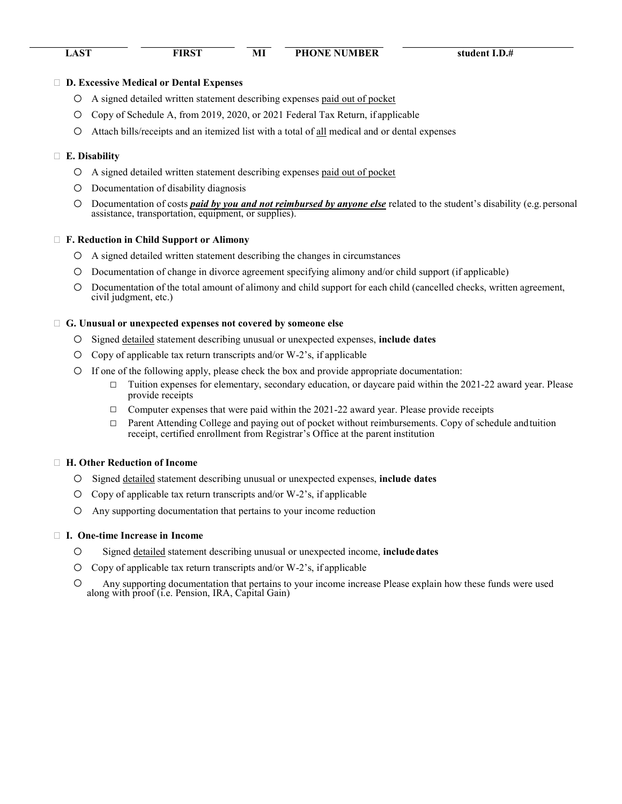#### D. Excessive Medical or Dental Expenses

- o A signed detailed written statement describing expenses paid out of pocket
- o Copy of Schedule A, from 2019, 2020, or 2021 Federal Tax Return, if applicable
- o Attach bills/receipts and an itemized list with a total of all medical and or dental expenses

LAST FIRST MI PHONE NUMBER student I.D.#

#### E. Disability

- o A signed detailed written statement describing expenses paid out of pocket
- o Documentation of disability diagnosis
- O Documentation of costs **paid by you and not reimbursed by anyone else** related to the student's disability (e.g. personal assistance, transportation, equipment, or supplies).

#### F. Reduction in Child Support or Alimony

- o A signed detailed written statement describing the changes in circumstances
- o Documentation of change in divorce agreement specifying alimony and/or child support (if applicable)
- o Documentation of the total amount of alimony and child support for each child (cancelled checks, written agreement, civil judgment, etc.)

#### G. Unusual or unexpected expenses not covered by someone else

- o Signed detailed statement describing unusual or unexpected expenses, include dates
- $O$  Copy of applicable tax return transcripts and/or W-2's, if applicable
- o If one of the following apply, please check the box and provide appropriate documentation:
	- □ Tuition expenses for elementary, secondary education, or daycare paid within the 2021-22 award year. Please provide receipts
	- $\Box$  Computer expenses that were paid within the 2021-22 award year. Please provide receipts
	- □ Parent Attending College and paying out of pocket without reimbursements. Copy of schedule and tuition receipt, certified enrollment from Registrar's Office at the parent institution

#### H. Other Reduction of Income

- o Signed detailed statement describing unusual or unexpected expenses, include dates
- $\circ$  Copy of applicable tax return transcripts and/or W-2's, if applicable
- o Any supporting documentation that pertains to your income reduction

#### I. One-time Increase in Income

- o Signed detailed statement describing unusual or unexpected income, include dates
- $O$  Copy of applicable tax return transcripts and/or W-2's, if applicable
- o Any supporting documentation that pertains to your income increase Please explain how these funds were used along with proof (i.e. Pension, IRA, Capital Gain)